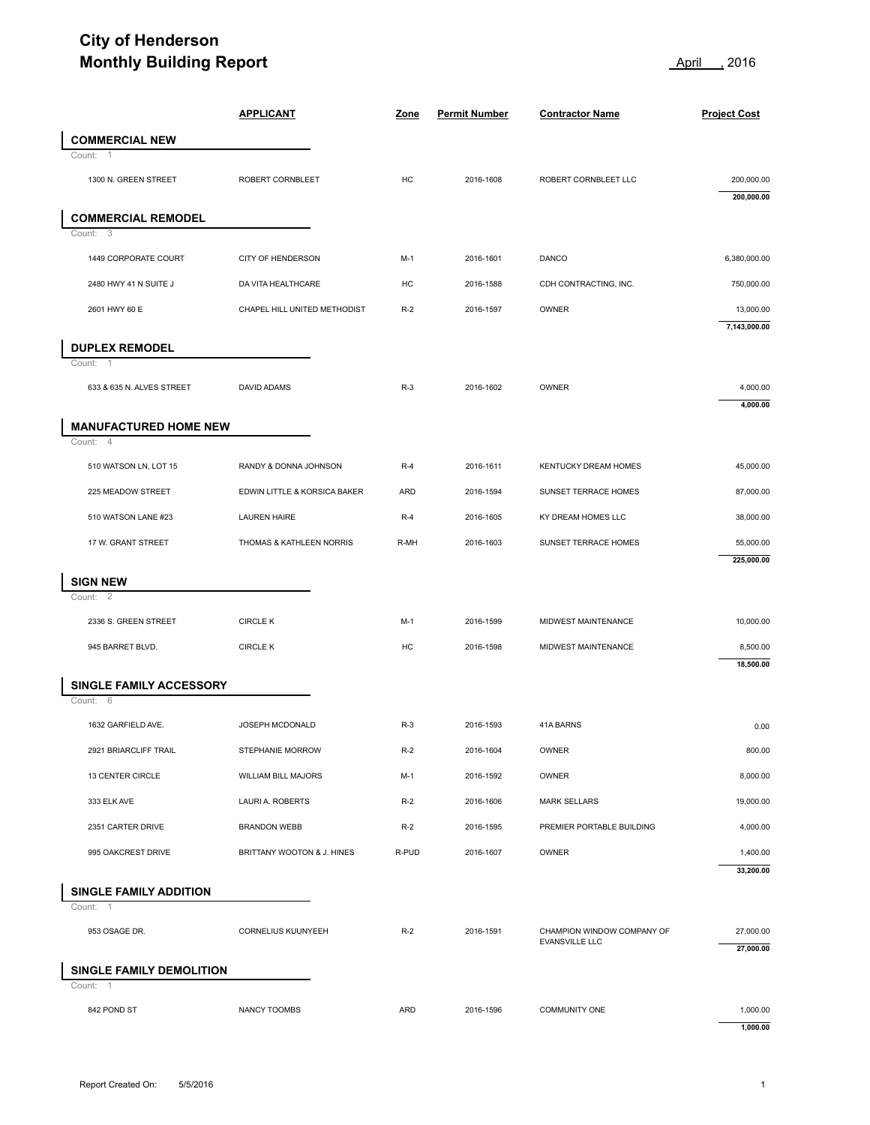## **City of Henderson Monthly Building Report April 1996** 2016

| <b>Monthly Building Report</b>                |                              |       | 2016<br><u>April</u> |                                              |                           |
|-----------------------------------------------|------------------------------|-------|----------------------|----------------------------------------------|---------------------------|
|                                               | <b>APPLICANT</b>             | Zone  | <b>Permit Number</b> | <b>Contractor Name</b>                       | <b>Project Cost</b>       |
| <b>COMMERCIAL NEW</b>                         |                              |       |                      |                                              |                           |
| Count:<br>1300 N. GREEN STREET                | ROBERT CORNBLEET             | HC    | 2016-1608            | ROBERT CORNBLEET LLC                         | 200,000.00<br>200,000.00  |
| <b>COMMERCIAL REMODEL</b>                     |                              |       |                      |                                              |                           |
| 3<br>Count:                                   |                              |       |                      |                                              |                           |
| 1449 CORPORATE COURT                          | <b>CITY OF HENDERSON</b>     | M-1   | 2016-1601            | DANCO                                        | 6,380,000.00              |
| 2480 HWY 41 N SUITE J                         | DA VITA HEALTHCARE           | HC    | 2016-1588            | CDH CONTRACTING, INC.                        | 750,000.00                |
| 2601 HWY 60 E                                 | CHAPEL HILL UNITED METHODIST | $R-2$ | 2016-1597            | OWNER                                        | 13,000.00<br>7,143,000.00 |
| <b>DUPLEX REMODEL</b>                         |                              |       |                      |                                              |                           |
| $\overline{1}$<br>Count:                      |                              |       |                      |                                              |                           |
| 633 & 635 N. ALVES STREET                     | DAVID ADAMS                  | $R-3$ | 2016-1602            | OWNER                                        | 4,000.00<br>4,000.00      |
| <b>MANUFACTURED HOME NEW</b>                  |                              |       |                      |                                              |                           |
| Count: 4<br>510 WATSON LN, LOT 15             | RANDY & DONNA JOHNSON        | $R-4$ | 2016-1611            | KENTUCKY DREAM HOMES                         | 45,000.00                 |
| 225 MEADOW STREET                             | EDWIN LITTLE & KORSICA BAKER | ARD   | 2016-1594            | SUNSET TERRACE HOMES                         | 87,000.00                 |
| 510 WATSON LANE #23                           | <b>LAUREN HAIRE</b>          | $R-4$ | 2016-1605            | KY DREAM HOMES LLC                           | 38,000.00                 |
| 17 W. GRANT STREET                            | THOMAS & KATHLEEN NORRIS     | R-MH  | 2016-1603            | SUNSET TERRACE HOMES                         | 55,000.00                 |
|                                               |                              |       |                      |                                              | 225,000.00                |
| <b>SIGN NEW</b>                               |                              |       |                      |                                              |                           |
| Count:<br>2                                   |                              |       |                      |                                              |                           |
| 2336 S. GREEN STREET                          | <b>CIRCLE K</b>              | $M-1$ | 2016-1599            | MIDWEST MAINTENANCE                          | 10,000.00                 |
| 945 BARRET BLVD.                              | <b>CIRCLE K</b>              | HC    | 2016-1598            | MIDWEST MAINTENANCE                          | 8,500.00<br>18,500.00     |
| SINGLE FAMILY ACCESSORY                       |                              |       |                      |                                              |                           |
| Count: 6                                      |                              |       |                      |                                              |                           |
| 1632 GARFIELD AVE.                            | JOSEPH MCDONALD              | $R-3$ | 2016-1593            | 41A BARNS                                    | 0.00                      |
| 2921 BRIARCLIFF TRAIL                         | STEPHANIE MORROW             | $R-2$ | 2016-1604            | OWNER                                        | 800.00                    |
| 13 CENTER CIRCLE                              | WILLIAM BILL MAJORS          | $M-1$ | 2016-1592            | OWNER                                        | 8,000.00                  |
| 333 ELK AVE                                   | LAURI A. ROBERTS             | $R-2$ | 2016-1606            | <b>MARK SELLARS</b>                          | 19,000.00                 |
| 2351 CARTER DRIVE                             | <b>BRANDON WEBB</b>          | $R-2$ | 2016-1595            | PREMIER PORTABLE BUILDING                    | 4,000.00                  |
| 995 OAKCREST DRIVE                            | BRITTANY WOOTON & J. HINES   | R-PUD | 2016-1607            | <b>OWNER</b>                                 | 1,400.00                  |
|                                               |                              |       |                      |                                              | 33,200.00                 |
| <b>SINGLE FAMILY ADDITION</b><br>-1<br>Count: |                              |       |                      |                                              |                           |
| 953 OSAGE DR.                                 | CORNELIUS KUUNYEEH           | $R-2$ | 2016-1591            | CHAMPION WINDOW COMPANY OF<br>EVANSVILLE LLC | 27,000.00<br>27,000.00    |
| SINGLE FAMILY DEMOLITION                      |                              |       |                      |                                              |                           |
| $\overline{1}$<br>Count:                      |                              |       |                      |                                              |                           |
| 842 POND ST                                   | NANCY TOOMBS                 | ARD   | 2016-1596            | <b>COMMUNITY ONE</b>                         | 1,000.00                  |
|                                               |                              |       |                      |                                              | 1,000.00                  |